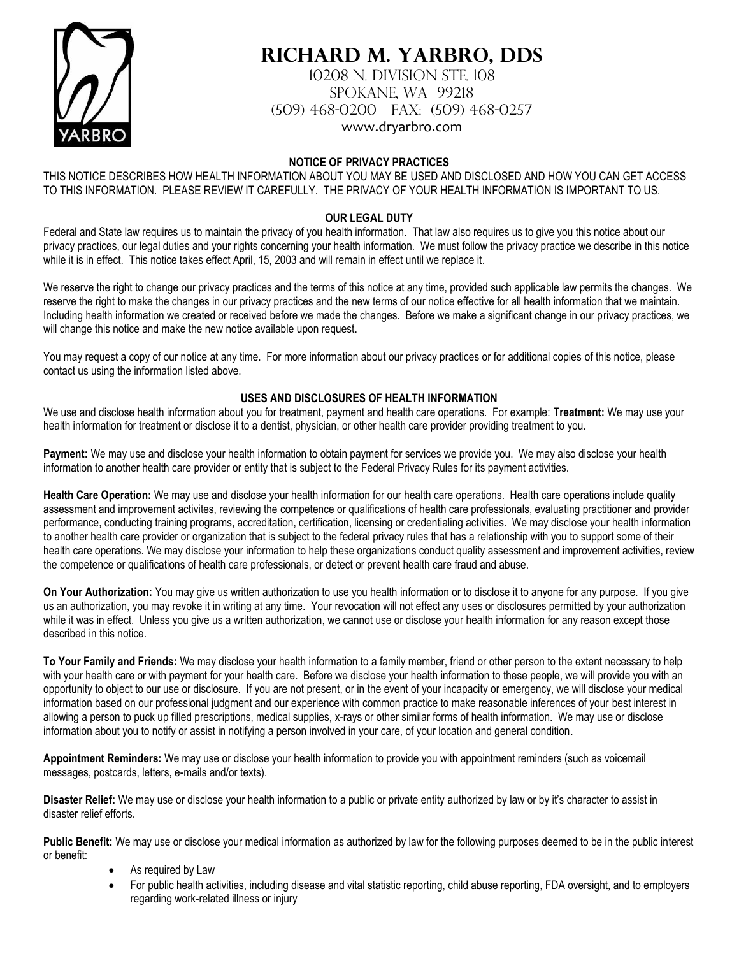| <b>SBR</b> |  |
|------------|--|

# **Richard M. Yarbro, DDS**

10208 N. Division Ste. 108 Spokane, WA 99218 (509) 468-0200 fax: (509) 468-0257 [www.dryarbro.com](http://www.dryarbro.com/)

### **NOTICE OF PRIVACY PRACTICES**

THIS NOTICE DESCRIBES HOW HEALTH INFORMATION ABOUT YOU MAY BE USED AND DISCLOSED AND HOW YOU CAN GET ACCESS TO THIS INFORMATION. PLEASE REVIEW IT CAREFULLY. THE PRIVACY OF YOUR HEALTH INFORMATION IS IMPORTANT TO US.

## **OUR LEGAL DUTY**

Federal and State law requires us to maintain the privacy of you health information. That law also requires us to give you this notice about our privacy practices, our legal duties and your rights concerning your health information. We must follow the privacy practice we describe in this notice while it is in effect. This notice takes effect April, 15, 2003 and will remain in effect until we replace it.

We reserve the right to change our privacy practices and the terms of this notice at any time, provided such applicable law permits the changes. We reserve the right to make the changes in our privacy practices and the new terms of our notice effective for all health information that we maintain. Including health information we created or received before we made the changes. Before we make a significant change in our privacy practices, we will change this notice and make the new notice available upon request.

You may request a copy of our notice at any time. For more information about our privacy practices or for additional copies of this notice, please contact us using the information listed above.

### **USES AND DISCLOSURES OF HEALTH INFORMATION**

We use and disclose health information about you for treatment, payment and health care operations. For example: **Treatment:** We may use your health information for treatment or disclose it to a dentist, physician, or other health care provider providing treatment to you.

**Payment:** We may use and disclose your health information to obtain payment for services we provide you. We may also disclose your health information to another health care provider or entity that is subject to the Federal Privacy Rules for its payment activities.

**Health Care Operation:** We may use and disclose your health information for our health care operations. Health care operations include quality assessment and improvement activites, reviewing the competence or qualifications of health care professionals, evaluating practitioner and provider performance, conducting training programs, accreditation, certification, licensing or credentialing activities. We may disclose your health information to another health care provider or organization that is subject to the federal privacy rules that has a relationship with you to support some of their health care operations. We may disclose your information to help these organizations conduct quality assessment and improvement activities, review the competence or qualifications of health care professionals, or detect or prevent health care fraud and abuse.

**On Your Authorization:** You may give us written authorization to use you health information or to disclose it to anyone for any purpose. If you give us an authorization, you may revoke it in writing at any time. Your revocation will not effect any uses or disclosures permitted by your authorization while it was in effect. Unless you give us a written authorization, we cannot use or disclose your health information for any reason except those described in this notice.

**To Your Family and Friends:** We may disclose your health information to a family member, friend or other person to the extent necessary to help with your health care or with payment for your health care. Before we disclose your health information to these people, we will provide you with an opportunity to object to our use or disclosure. If you are not present, or in the event of your incapacity or emergency, we will disclose your medical information based on our professional judgment and our experience with common practice to make reasonable inferences of your best interest in allowing a person to puck up filled prescriptions, medical supplies, x-rays or other similar forms of health information. We may use or disclose information about you to notify or assist in notifying a person involved in your care, of your location and general condition.

**Appointment Reminders:** We may use or disclose your health information to provide you with appointment reminders (such as voicemail messages, postcards, letters, e-mails and/or texts).

**Disaster Relief:** We may use or disclose your health information to a public or private entity authorized by law or by it's character to assist in disaster relief efforts.

**Public Benefit:** We may use or disclose your medical information as authorized by law for the following purposes deemed to be in the public interest or benefit:

- As required by Law
- For public health activities, including disease and vital statistic reporting, child abuse reporting, FDA oversight, and to employers regarding work-related illness or injury